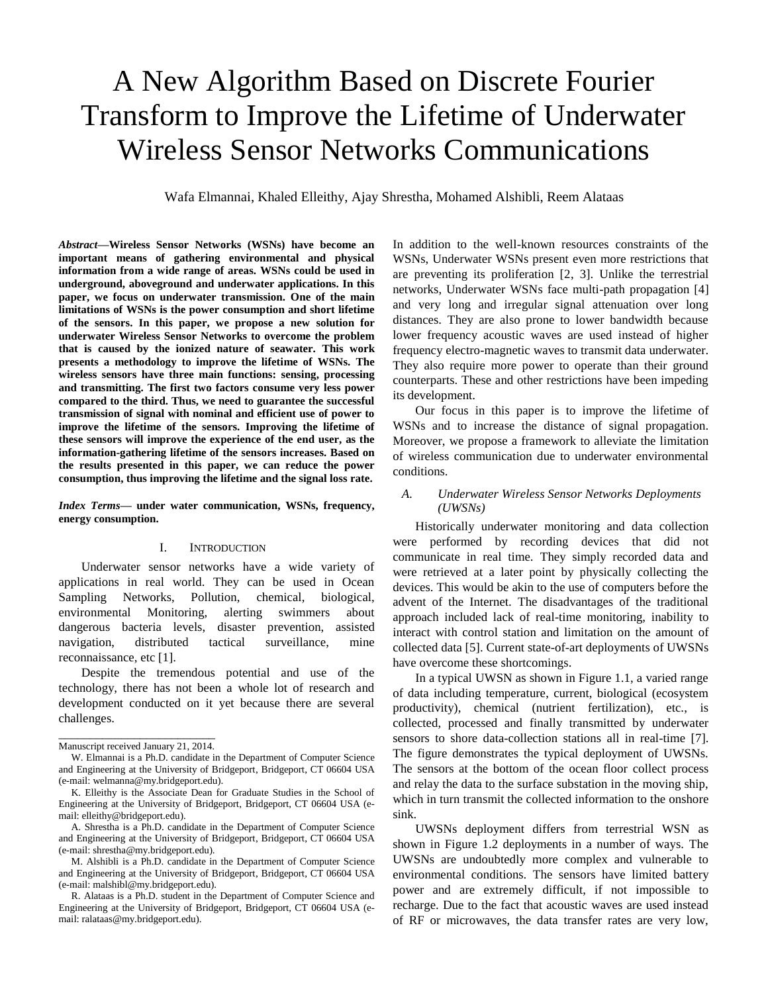# A New Algorithm Based on Discrete Fourier Transform to Improve the Lifetime of Underwater Wireless Sensor Networks Communications

Wafa Elmannai, Khaled Elleithy, Ajay Shrestha, Mohamed Alshibli, Reem Alataas

*Abstract—***Wireless Sensor Networks (WSNs) have become an important means of gathering environmental and physical information from a wide range of areas. WSNs could be used in underground, aboveground and underwater applications. In this paper, we focus on underwater transmission. One of the main limitations of WSNs is the power consumption and short lifetime of the sensors. In this paper, we propose a new solution for underwater Wireless Sensor Networks to overcome the problem that is caused by the ionized nature of seawater. This work presents a methodology to improve the lifetime of WSNs. The wireless sensors have three main functions: sensing, processing and transmitting. The first two factors consume very less power compared to the third. Thus, we need to guarantee the successful transmission of signal with nominal and efficient use of power to improve the lifetime of the sensors. Improving the lifetime of these sensors will improve the experience of the end user, as the information-gathering lifetime of the sensors increases. Based on the results presented in this paper, we can reduce the power consumption, thus improving the lifetime and the signal loss rate.**

*Index Terms***— under water communication, WSNs, frequency, energy consumption.**

## I. INTRODUCTION

Underwater sensor networks have a wide variety of applications in real world. They can be used in Ocean Sampling Networks, Pollution, chemical, biological, environmental Monitoring, alerting swimmers about dangerous bacteria levels, disaster prevention, assisted navigation, distributed tactical surveillance, mine reconnaissance, etc [1].

Despite the tremendous potential and use of the technology, there has not been a whole lot of research and development conducted on it yet because there are several challenges.

M. Alshibli is a Ph.D. candidate in the Department of Computer Science and Engineering at the University of Bridgeport, Bridgeport, CT 06604 USA (e-mail: malshibl@my.bridgeport.edu).

R. Alataas is a Ph.D. student in the Department of Computer Science and Engineering at the University of Bridgeport, Bridgeport, CT 06604 USA (email: ralataas@my.bridgeport.edu).

In addition to the well-known resources constraints of the WSNs, Underwater WSNs present even more restrictions that are preventing its proliferation [2, 3]. Unlike the terrestrial networks, Underwater WSNs face multi-path propagation [4] and very long and irregular signal attenuation over long distances. They are also prone to lower bandwidth because lower frequency acoustic waves are used instead of higher frequency electro-magnetic waves to transmit data underwater. They also require more power to operate than their ground counterparts. These and other restrictions have been impeding its development.

Our focus in this paper is to improve the lifetime of WSNs and to increase the distance of signal propagation. Moreover, we propose a framework to alleviate the limitation of wireless communication due to underwater environmental conditions.

## *A. Underwater Wireless Sensor Networks Deployments (UWSNs)*

Historically underwater monitoring and data collection were performed by recording devices that did not communicate in real time. They simply recorded data and were retrieved at a later point by physically collecting the devices. This would be akin to the use of computers before the advent of the Internet. The disadvantages of the traditional approach included lack of real-time monitoring, inability to interact with control station and limitation on the amount of collected data [5]. Current state-of-art deployments of UWSNs have overcome these shortcomings.

In a typical UWSN as shown in Figure 1.1, a varied range of data including temperature, current, biological (ecosystem productivity), chemical (nutrient fertilization), etc., is collected, processed and finally transmitted by underwater sensors to shore data-collection stations all in real-time [7]. The figure demonstrates the typical deployment of UWSNs. The sensors at the bottom of the ocean floor collect process and relay the data to the surface substation in the moving ship, which in turn transmit the collected information to the onshore sink.

UWSNs deployment differs from terrestrial WSN as shown in Figure 1.2 deployments in a number of ways. The UWSNs are undoubtedly more complex and vulnerable to environmental conditions. The sensors have limited battery power and are extremely difficult, if not impossible to recharge. Due to the fact that acoustic waves are used instead of RF or microwaves, the data transfer rates are very low,

\_\_\_\_\_\_\_\_\_\_\_\_\_\_\_\_\_\_\_\_\_\_\_\_\_ Manuscript received January 21, 2014.

W. Elmannai is a Ph.D. candidate in the Department of Computer Science and Engineering at the University of Bridgeport, Bridgeport, CT 06604 USA (e-mail: welmanna@my.bridgeport.edu).

K. Elleithy is the Associate Dean for Graduate Studies in the School of Engineering at the University of Bridgeport, Bridgeport, CT 06604 USA (email: elleithy@bridgeport.edu).

A. Shrestha is a Ph.D. candidate in the Department of Computer Science and Engineering at the University of Bridgeport, Bridgeport, CT 06604 USA (e-mail: shrestha@my.bridgeport.edu).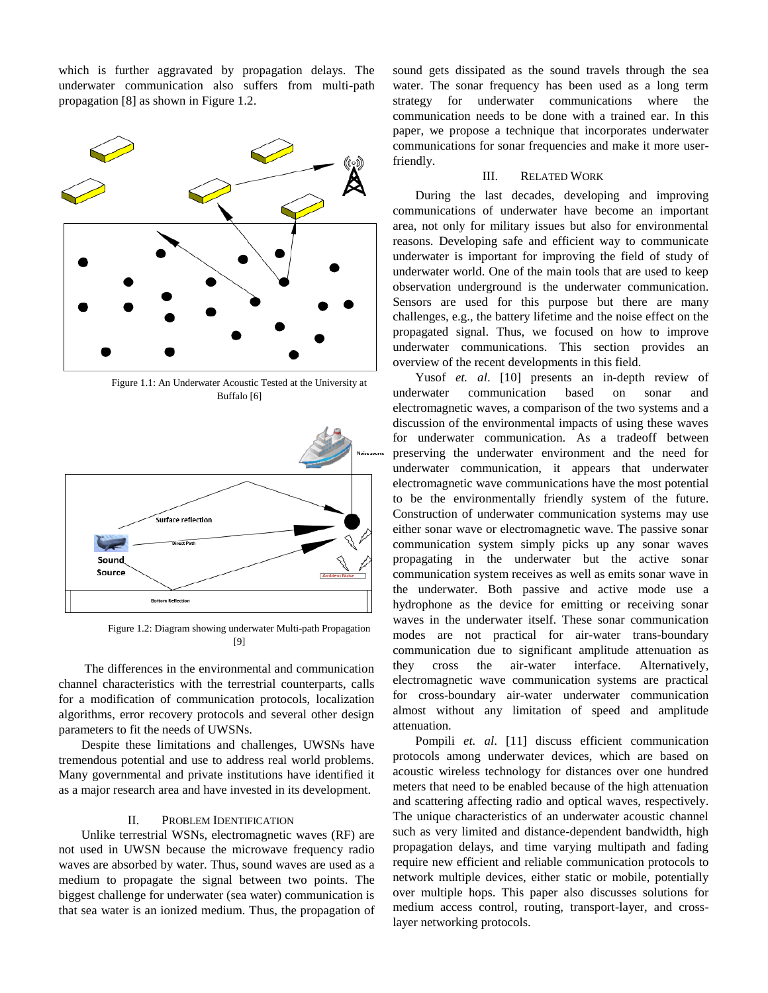which is further aggravated by propagation delays. The underwater communication also suffers from multi-path propagation [8] as shown in Figure 1.2.



Figure 1.1: An Underwater Acoustic Tested at the University at Buffalo [6]



Figure 1.2: Diagram showing underwater Multi-path Propagation [9]

The differences in the environmental and communication channel characteristics with the terrestrial counterparts, calls for a modification of communication protocols, localization algorithms, error recovery protocols and several other design parameters to fit the needs of UWSNs.

Despite these limitations and challenges, UWSNs have tremendous potential and use to address real world problems. Many governmental and private institutions have identified it as a major research area and have invested in its development.

## II. PROBLEM IDENTIFICATION

Unlike terrestrial WSNs, electromagnetic waves (RF) are not used in UWSN because the microwave frequency radio waves are absorbed by water. Thus, sound waves are used as a medium to propagate the signal between two points. The biggest challenge for underwater (sea water) communication is that sea water is an ionized medium. Thus, the propagation of sound gets dissipated as the sound travels through the sea water. The sonar frequency has been used as a long term strategy for underwater communications where the communication needs to be done with a trained ear. In this paper, we propose a technique that incorporates underwater communications for sonar frequencies and make it more userfriendly.

## III. RELATED WORK

During the last decades, developing and improving communications of underwater have become an important area, not only for military issues but also for environmental reasons. Developing safe and efficient way to communicate underwater is important for improving the field of study of underwater world. One of the main tools that are used to keep observation underground is the underwater communication. Sensors are used for this purpose but there are many challenges, e.g., the battery lifetime and the noise effect on the propagated signal. Thus, we focused on how to improve underwater communications. This section provides an overview of the recent developments in this field.

Yusof *et. al.* [10] presents an in-depth review of underwater communication based on sonar and electromagnetic waves, a comparison of the two systems and a discussion of the environmental impacts of using these waves for underwater communication. As a tradeoff between preserving the underwater environment and the need for underwater communication, it appears that underwater electromagnetic wave communications have the most potential to be the environmentally friendly system of the future. Construction of underwater communication systems may use either sonar wave or electromagnetic wave. The passive sonar communication system simply picks up any sonar waves propagating in the underwater but the active sonar communication system receives as well as emits sonar wave in the underwater. Both passive and active mode use a hydrophone as the device for emitting or receiving sonar waves in the underwater itself. These sonar communication modes are not practical for air-water trans-boundary communication due to significant amplitude attenuation as they cross the air-water interface. Alternatively, electromagnetic wave communication systems are practical for cross-boundary air-water underwater communication almost without any limitation of speed and amplitude attenuation.

Pompili *et. al*. [11] discuss efficient communication protocols among underwater devices, which are based on acoustic wireless technology for distances over one hundred meters that need to be enabled because of the high attenuation and scattering affecting radio and optical waves, respectively. The unique characteristics of an underwater acoustic channel such as very limited and distance-dependent bandwidth, high propagation delays, and time varying multipath and fading require new efficient and reliable communication protocols to network multiple devices, either static or mobile, potentially over multiple hops. This paper also discusses solutions for medium access control, routing, transport-layer, and crosslayer networking protocols.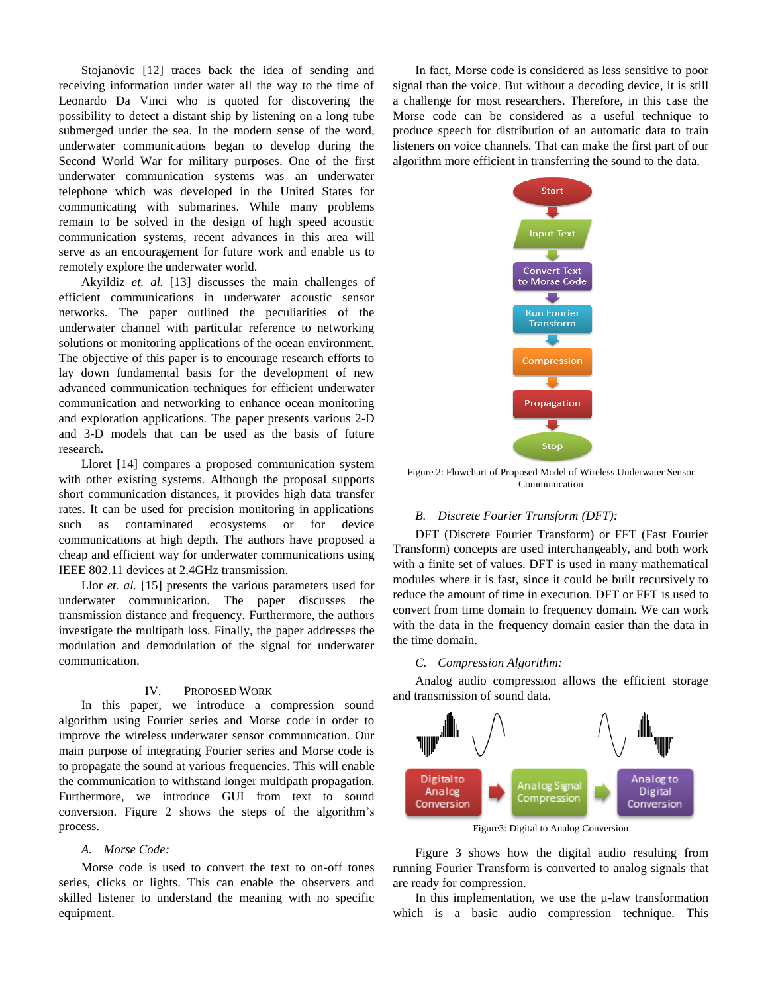Stojanovic [12] traces back the idea of sending and receiving information under water all the way to the time of Leonardo Da Vinci who is quoted for discovering the possibility to detect a distant ship by listening on a long tube submerged under the sea. In the modern sense of the word, underwater communications began to develop during the Second World War for military purposes. One of the first underwater communication systems was an underwater telephone which was developed in the United States for communicating with submarines. While many problems remain to be solved in the design of high speed acoustic communication systems, recent advances in this area will serve as an encouragement for future work and enable us to remotely explore the underwater world.

Akyildiz *et. al.* [13] discusses the main challenges of efficient communications in underwater acoustic sensor networks. The paper outlined the peculiarities of the underwater channel with particular reference to networking solutions or monitoring applications of the ocean environment. The objective of this paper is to encourage research efforts to lay down fundamental basis for the development of new advanced communication techniques for efficient underwater communication and networking to enhance ocean monitoring and exploration applications. The paper presents various 2-D and 3-D models that can be used as the basis of future research.

Lloret [14] compares a proposed communication system with other existing systems. Although the proposal supports short communication distances, it provides high data transfer rates. It can be used for precision monitoring in applications such as contaminated ecosystems or for device communications at high depth. The authors have proposed a cheap and efficient way for underwater communications using IEEE 802.11 devices at 2.4GHz transmission.

Llor *et. al.* [15] presents the various parameters used for underwater communication. The paper discusses the transmission distance and frequency. Furthermore, the authors investigate the multipath loss. Finally, the paper addresses the modulation and demodulation of the signal for underwater communication.

## IV. PROPOSED WORK

In this paper, we introduce a compression sound algorithm using Fourier series and Morse code in order to improve the wireless underwater sensor communication. Our main purpose of integrating Fourier series and Morse code is to propagate the sound at various frequencies. This will enable the communication to withstand longer multipath propagation. Furthermore, we introduce GUI from text to sound conversion. Figure 2 shows the steps of the algorithm's process.

# *A. Morse Code:*

Morse code is used to convert the text to on-off tones series, clicks or lights. This can enable the observers and skilled listener to understand the meaning with no specific equipment.

In fact, Morse code is considered as less sensitive to poor signal than the voice. But without a decoding device, it is still a challenge for most researchers. Therefore, in this case the Morse code can be considered as a useful technique to produce speech for distribution of an automatic data to train listeners on voice channels. That can make the first part of our algorithm more efficient in transferring the sound to the data.



Figure 2: Flowchart of Proposed Model of Wireless Underwater Sensor Communication

# *B. Discrete Fourier Transform (DFT):*

DFT (Discrete Fourier Transform) or FFT (Fast Fourier Transform) concepts are used interchangeably, and both work with a finite set of values. DFT is used in many mathematical modules where it is fast, since it could be built recursively to reduce the amount of time in execution. DFT or FFT is used to convert from time domain to frequency domain. We can work with the data in the frequency domain easier than the data in the time domain.

#### *C. Compression Algorithm:*

Analog audio compression allows the efficient storage and transmission of sound data.



Figure3: Digital to Analog Conversion

Figure 3 shows how the digital audio resulting from running Fourier Transform is converted to analog signals that are ready for compression.

In this implementation, we use the  $\mu$ -law transformation which is a basic audio compression technique. This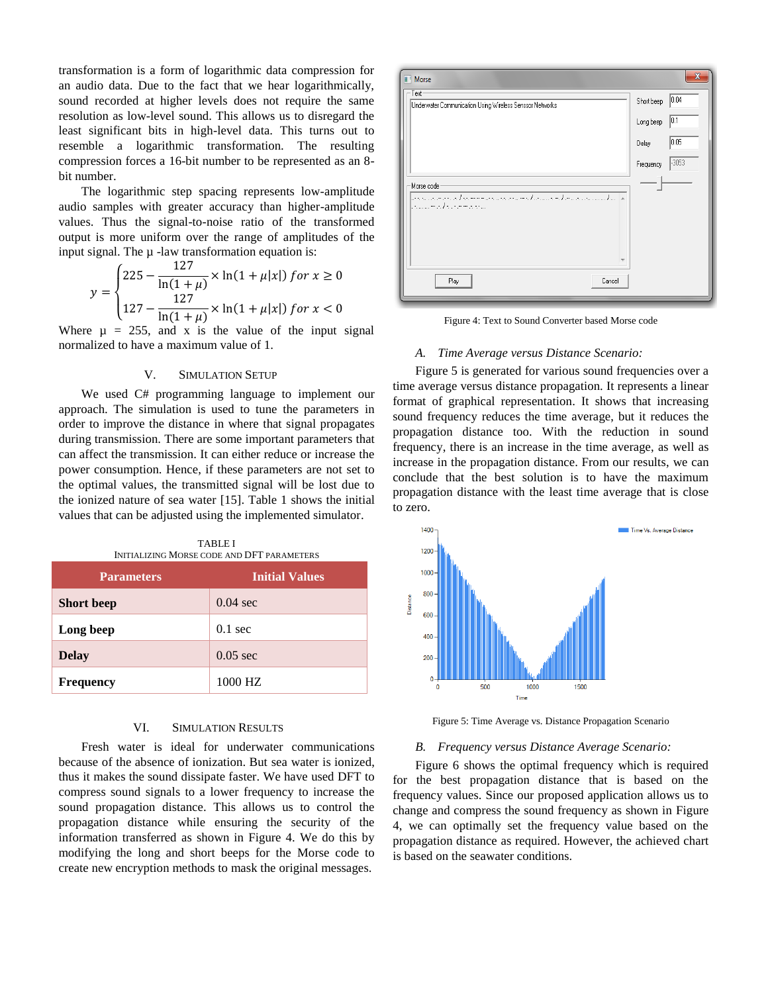transformation is a form of logarithmic data compression for an audio data. Due to the fact that we hear logarithmically, sound recorded at higher levels does not require the same resolution as low-level sound. This allows us to disregard the least significant bits in high-level data. This turns out to resemble a logarithmic transformation. The resulting compression forces a 16-bit number to be represented as an 8 bit number.

The logarithmic step spacing represents low-amplitude audio samples with greater accuracy than higher-amplitude values. Thus the signal-to-noise ratio of the transformed output is more uniform over the range of amplitudes of the input signal. The  $\mu$ -law transformation equation is:

$$
y = \begin{cases} 225 - \frac{127}{\ln(1+\mu)} \times \ln(1+\mu|x|) \text{ for } x \ge 0\\ 127 - \frac{127}{\ln(1+\mu)} \times \ln(1+\mu|x|) \text{ for } x < 0 \end{cases}
$$

Where  $\mu = 255$ , and x is the value of the input signal normalized to have a maximum value of 1.

### V. SIMULATION SETUP

We used C# programming language to implement our approach. The simulation is used to tune the parameters in order to improve the distance in where that signal propagates during transmission. There are some important parameters that can affect the transmission. It can either reduce or increase the power consumption. Hence, if these parameters are not set to the optimal values, the transmitted signal will be lost due to the ionized nature of sea water [15]. Table 1 shows the initial values that can be adjusted using the implemented simulator.

TABLE I INITIALIZING MORSE CODE AND DFT PARAMETERS

| <b>Parameters</b> | <b>Initial Values</b> |
|-------------------|-----------------------|
| <b>Short</b> beep | $0.04 \text{ sec}$    |
| Long beep         | $0.1 \text{ sec}$     |
| <b>Delay</b>      | $0.05$ sec            |
| <b>Frequency</b>  | 1000 HZ               |

## VI. SIMULATION RESULTS

Fresh water is ideal for underwater communications because of the absence of ionization. But sea water is ionized, thus it makes the sound dissipate faster. We have used DFT to compress sound signals to a lower frequency to increase the sound propagation distance. This allows us to control the propagation distance while ensuring the security of the information transferred as shown in Figure 4. We do this by modifying the long and short beeps for the Morse code to create new encryption methods to mask the original messages.



Figure 4: Text to Sound Converter based Morse code

## *A. Time Average versus Distance Scenario:*

Figure 5 is generated for various sound frequencies over a time average versus distance propagation. It represents a linear format of graphical representation. It shows that increasing sound frequency reduces the time average, but it reduces the propagation distance too. With the reduction in sound frequency, there is an increase in the time average, as well as increase in the propagation distance. From our results, we can conclude that the best solution is to have the maximum propagation distance with the least time average that is close to zero.



Figure 5: Time Average vs. Distance Propagation Scenario

#### *B. Frequency versus Distance Average Scenario:*

Figure 6 shows the optimal frequency which is required for the best propagation distance that is based on the frequency values. Since our proposed application allows us to change and compress the sound frequency as shown in Figure 4, we can optimally set the frequency value based on the propagation distance as required. However, the achieved chart is based on the seawater conditions.